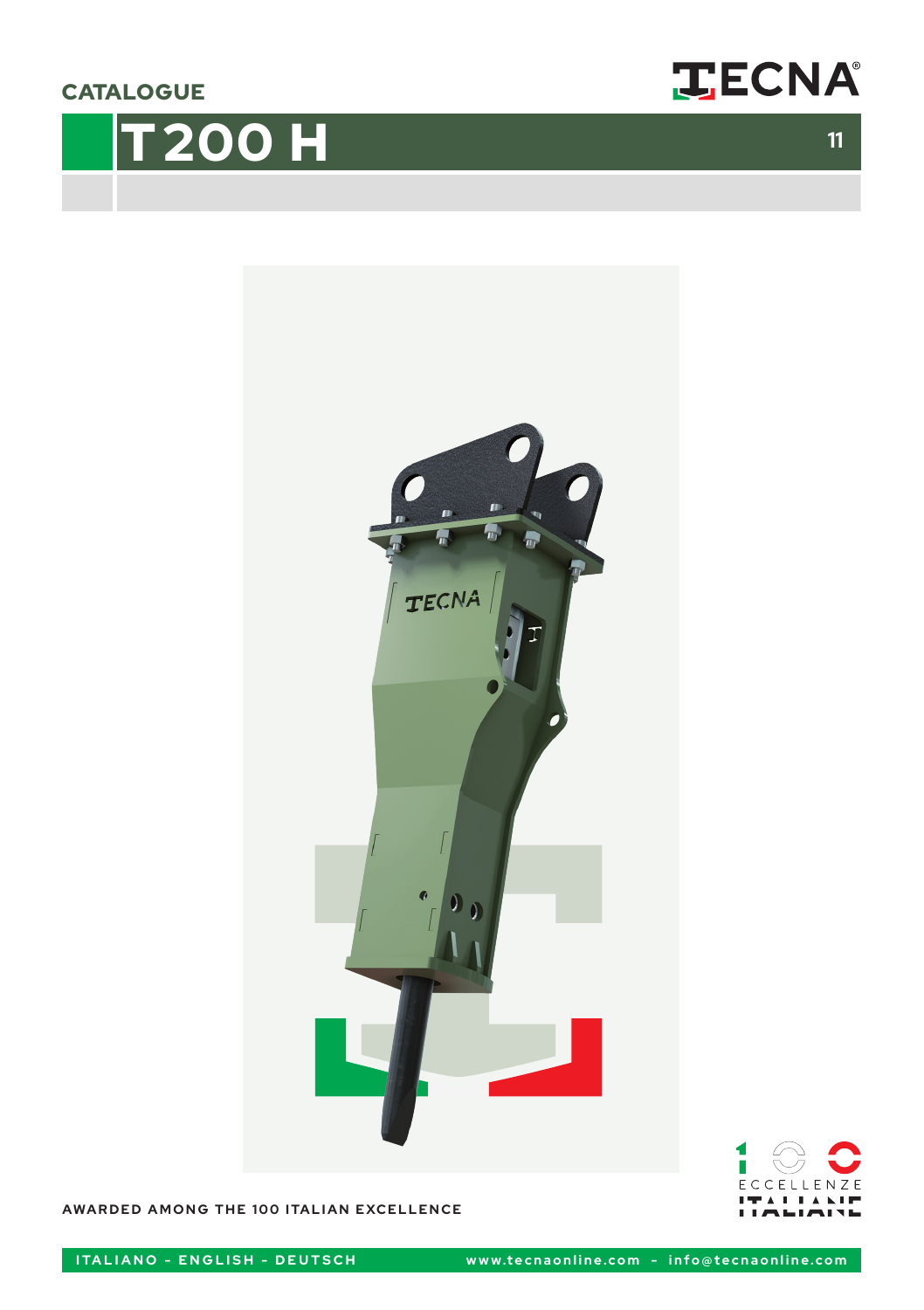**CATALOGUE** 









**AWARDED AMONG THE 100 ITALIAN EXCELLENCE**